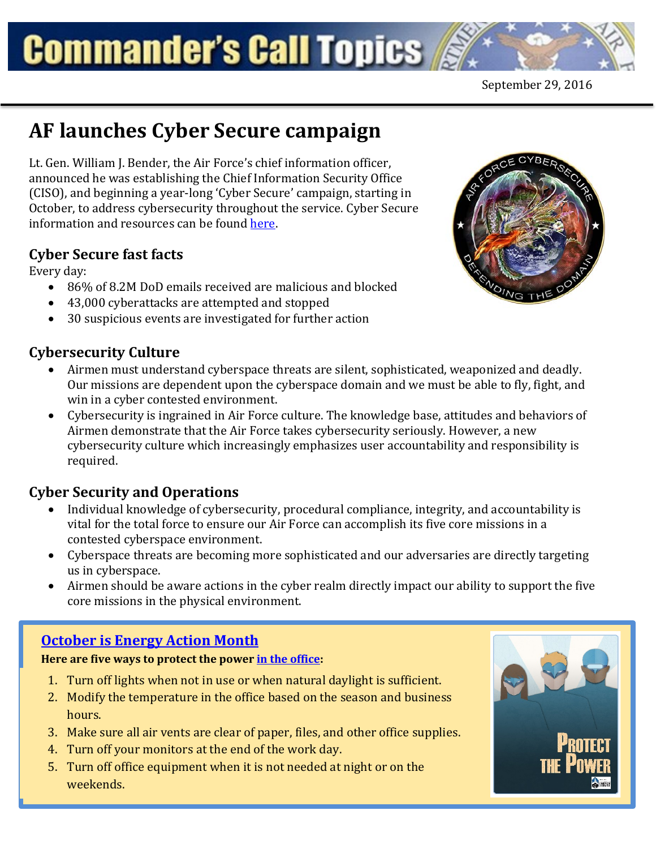# **Commander's Call Topics**

## **AF launches Cyber Secure campaign**

Lt. Gen. William J. Bender, the Air Force's chief information officer, announced he was establishing the Chief Information Security Office (CISO), and beginning a year-long 'Cyber Secure' campaign, starting in October, to address cybersecurity throughout the service. Cyber Secure information and resources can be found [here.](http://www.af.mil/cybersecurity.aspx)

#### **Cyber Secure fast facts**

Every day:

- 86% of 8.2M DoD emails received are malicious and blocked
- 43,000 cyberattacks are attempted and stopped
- 30 suspicious events are investigated for further action

#### **Cybersecurity Culture**

- Airmen must understand cyberspace threats are silent, sophisticated, weaponized and deadly. Our missions are dependent upon the cyberspace domain and we must be able to fly, fight, and win in a cyber contested environment.
- Cybersecurity is ingrained in Air Force culture. The knowledge base, attitudes and behaviors of Airmen demonstrate that the Air Force takes cybersecurity seriously. However, a new cybersecurity culture which increasingly emphasizes user accountability and responsibility is required.

#### **Cyber Security and Operations**

- Individual knowledge of cybersecurity, procedural compliance, integrity, and accountability is vital for the total force to ensure our Air Force can accomplish its five core missions in a contested cyberspace environment.
- Cyberspace threats are becoming more sophisticated and our adversaries are directly targeting us in cyberspace.
- Airmen should be aware actions in the cyber realm directly impact our ability to support the five core missions in the physical environment.

#### **[October is Energy Action Month](http://www.safie.hq.af.mil/Programs/Energy/Action-Month)**

#### **Here are five ways to protect the powe[r in the office:](http://www.safie.hq.af.mil/Portals/78/documents/EnergyAction/AF%20Protect%20the%20Power%20Office.pdf)**

- 1. Turn off lights when not in use or when natural daylight is sufficient.
- 2. Modify the temperature in the office based on the season and business hours.
- 3. Make sure all air vents are clear of paper, files, and other office supplies.
- 4. Turn off your monitors at the end of the work day.
- 5. Turn off office equipment when it is not needed at night or on the weekends.